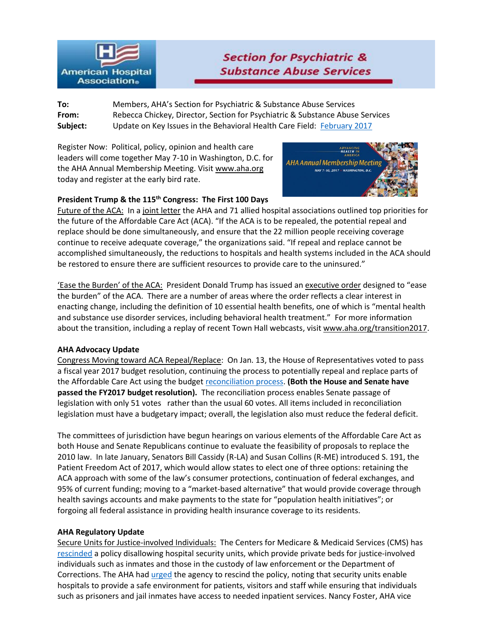

# **Section for Psychiatric & Substance Abuse Services**

**To:** Members, AHA's Section for Psychiatric & Substance Abuse Services **From:** Rebecca Chickey, Director, Section for Psychiatric & Substance Abuse Services **Subject:** Update on Key Issues in the Behavioral Health Care Field: [February 2017](http://www.aha.org/content/17/17feb-behupdate.pdf)

Register Now: Political, policy, opinion and health care leaders will come together May 7-10 in Washington, D.C. for the AHA Annual Membership Meeting. Visi[t www.aha.org](http://www.aha.org/) today and register at the early bird rate.



## **President Trump & the 115th Congress: The First 100 Days**

Future of the ACA: In [a joint letter](http://www.aha.org/letters?utm_source=newsletter&utm_medium=email&utm_campaign=NewsNow) the AHA and 71 allied hospital associations outlined top priorities for the future of the Affordable Care Act (ACA). "If the ACA is to be repealed, the potential repeal and replace should be done simultaneously, and ensure that the 22 million people receiving coverage continue to receive adequate coverage," the organizations said. "If repeal and replace cannot be accomplished simultaneously, the reductions to hospitals and health systems included in the ACA should be restored to ensure there are sufficient resources to provide care to the uninsured."

'Ease the Burden' of the ACA: President Donald Trump has issued an [executive order](http://www.cnn.com/2017/01/20/politics/trump-obamacare-executive-order/) designed to "ease the burden" of the ACA. There are a number of areas where the order reflects a clear interest in enacting change, including the definition of 10 essential health benefits, one of which is "mental health and substance use disorder services, including behavioral health treatment." For more information about the transition, including a replay of recent Town Hall webcasts, visit [www.aha.org/transition2017.](http://www.aha.org/transition2017)

### **AHA Advocacy Update**

Congress Moving toward ACA Repeal/Replace: On Jan. 13, the House of Representatives voted to pass a fiscal year 2017 budget resolution, continuing the process to potentially repeal and replace parts of the Affordable Care Act using the budget [reconciliation process.](https://www.youtube.com/watch?v=fhPMcRbmZII&feature=youtu.be) **(Both the House and Senate have passed the FY2017 budget resolution).** The reconciliation process enables Senate passage of legislation with only 51 votes rather than the usual 60 votes. All items included in reconciliation legislation must have a budgetary impact; overall, the legislation also must reduce the federal deficit.

The committees of jurisdiction have begun hearings on various elements of the Affordable Care Act as both House and Senate Republicans continue to evaluate the feasibility of proposals to replace the 2010 law. In late January, Senators Bill Cassidy (R-LA) and Susan Collins (R-ME) introduced S. 191, the Patient Freedom Act of 2017, which would allow states to elect one of three options: retaining the ACA approach with some of the law's consumer protections, continuation of federal exchanges, and 95% of current funding; moving to a "market-based alternative" that would provide coverage through health savings accounts and make payments to the state for "population health initiatives"; or forgoing all federal assistance in providing health insurance coverage to its residents.

### **AHA Regulatory Update**

Secure Units for Justice-involved Individuals: The Centers for Medicare & Medicaid Services (CMS) has [rescinded](https://www.cms.gov/Medicare/Provider-Enrollment-and-Certification/SurveyCertificationGenInfo/Downloads/Survey-and-Cert-Letter-16-21.pdf) a policy disallowing hospital security units, which provide private beds for justice-involved individuals such as inmates and those in the custody of law enforcement or the Department of Corrections. The AHA had [urged](http://www.aha.org/hospital-members/advocacy-issues/letter/2016/160720jiguidance.pdf) the agency to rescind the policy, noting that security units enable hospitals to provide a safe environment for patients, visitors and staff while ensuring that individuals such as prisoners and jail inmates have access to needed inpatient services. Nancy Foster, AHA vice